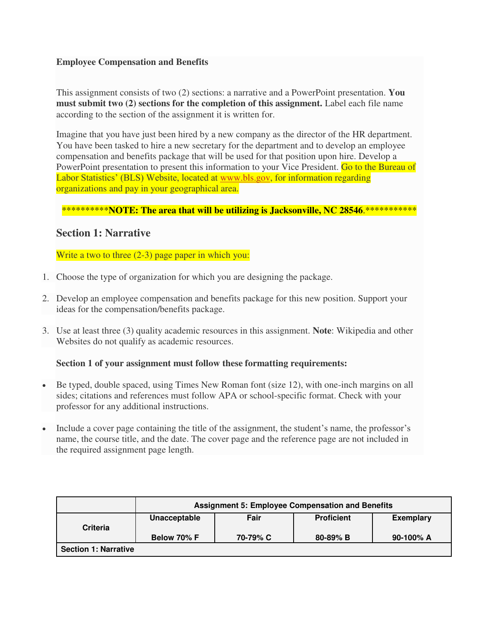## **Employee Compensation and Benefits**

This assignment consists of two (2) sections: a narrative and a PowerPoint presentation. **You must submit two (2) sections for the completion of this assignment.** Label each file name according to the section of the assignment it is written for.

Imagine that you have just been hired by a new company as the director of the HR department. You have been tasked to hire a new secretary for the department and to develop an employee compensation and benefits package that will be used for that position upon hire. Develop a PowerPoint presentation to present this information to your Vice President. Go to the Bureau of Labor Statistics' (BLS) Website, located at [www.bls.gov,](http://www.bls.gov/) for information regarding organizations and pay in your geographical area.

### \*\*\*\*\*\*\*\*\*\***NOTE: The area that will be utilizing is Jacksonville, NC 28546.\*\*\*\*\*\*\*\*\*\*\***

## **Section 1: Narrative**

Write a two to three (2-3) page paper in which you:

- 1. Choose the type of organization for which you are designing the package.
- 2. Develop an employee compensation and benefits package for this new position. Support your ideas for the compensation/benefits package.
- 3. Use at least three (3) quality academic resources in this assignment. **Note**: Wikipedia and other Websites do not qualify as academic resources.

#### **Section 1 of your assignment must follow these formatting requirements:**

- Be typed, double spaced, using Times New Roman font (size 12), with one-inch margins on all sides; citations and references must follow APA or school-specific format. Check with your professor for any additional instructions.
- Include a cover page containing the title of the assignment, the student's name, the professor's name, the course title, and the date. The cover page and the reference page are not included in the required assignment page length.

|                             | <b>Assignment 5: Employee Compensation and Benefits</b> |          |                   |                  |
|-----------------------------|---------------------------------------------------------|----------|-------------------|------------------|
| <b>Criteria</b>             | Unacceptable                                            | Fair     | <b>Proficient</b> | <b>Exemplary</b> |
|                             | Below 70% F                                             | 70-79% C | $80 - 89\%$ B     | 90-100% A        |
| <b>Section 1: Narrative</b> |                                                         |          |                   |                  |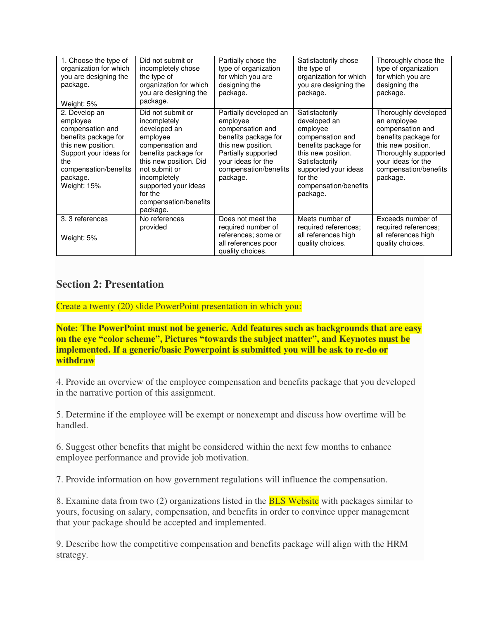| 1. Choose the type of<br>organization for which<br>you are designing the<br>package.<br>Weight: 5%                                                                               | Did not submit or<br>incompletely chose<br>the type of<br>organization for which<br>you are designing the<br>package.                                                                                                                        | Partially chose the<br>type of organization<br>for which you are<br>designing the<br>package.                                                                                          | Satisfactorily chose<br>the type of<br>organization for which<br>you are designing the<br>package.                                                                                                     | Thoroughly chose the<br>type of organization<br>for which you are<br>designing the<br>package.                                                                                           |
|----------------------------------------------------------------------------------------------------------------------------------------------------------------------------------|----------------------------------------------------------------------------------------------------------------------------------------------------------------------------------------------------------------------------------------------|----------------------------------------------------------------------------------------------------------------------------------------------------------------------------------------|--------------------------------------------------------------------------------------------------------------------------------------------------------------------------------------------------------|------------------------------------------------------------------------------------------------------------------------------------------------------------------------------------------|
| 2. Develop an<br>employee<br>compensation and<br>benefits package for<br>this new position.<br>Support your ideas for<br>the<br>compensation/benefits<br>package.<br>Weight: 15% | Did not submit or<br>incompletely<br>developed an<br>employee<br>compensation and<br>benefits package for<br>this new position. Did<br>not submit or<br>incompletely<br>supported your ideas<br>for the<br>compensation/benefits<br>package. | Partially developed an<br>employee<br>compensation and<br>benefits package for<br>this new position.<br>Partially supported<br>your ideas for the<br>compensation/benefits<br>package. | Satisfactorily<br>developed an<br>employee<br>compensation and<br>benefits package for<br>this new position.<br>Satisfactorily<br>supported your ideas<br>for the<br>compensation/benefits<br>package. | Thoroughly developed<br>an employee<br>compensation and<br>benefits package for<br>this new position.<br>Thoroughly supported<br>your ideas for the<br>compensation/benefits<br>package. |
| 3. 3 references<br>Weight: 5%                                                                                                                                                    | No references<br>provided                                                                                                                                                                                                                    | Does not meet the<br>required number of<br>references; some or<br>all references poor<br>quality choices.                                                                              | Meets number of<br>required references;<br>all references high<br>quality choices.                                                                                                                     | Exceeds number of<br>required references;<br>all references high<br>quality choices.                                                                                                     |

# **Section 2: Presentation**

Create a twenty (20) slide PowerPoint presentation in which you:

**Note: The PowerPoint must not be generic. Add features such as backgrounds that are easy on the eye "color scheme", Pictures "towards the subject matter", and Keynotes must be implemented. If a generic/basic Powerpoint is submitted you will be ask to re-do or withdraw** 

4. Provide an overview of the employee compensation and benefits package that you developed in the narrative portion of this assignment.

5. Determine if the employee will be exempt or nonexempt and discuss how overtime will be handled.

6. Suggest other benefits that might be considered within the next few months to enhance employee performance and provide job motivation.

7. Provide information on how government regulations will influence the compensation.

8. Examine data from two (2) organizations listed in the **BLS Website** with packages similar to yours, focusing on salary, compensation, and benefits in order to convince upper management that your package should be accepted and implemented.

9. Describe how the competitive compensation and benefits package will align with the HRM strategy.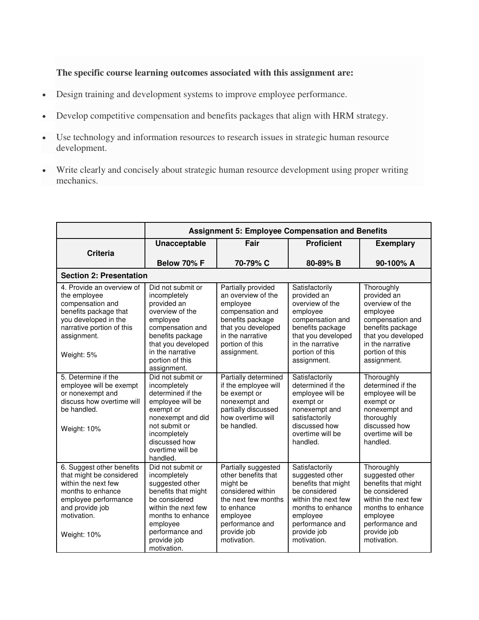## **The specific course learning outcomes associated with this assignment are:**

- Design training and development systems to improve employee performance.
- Develop competitive compensation and benefits packages that align with HRM strategy.
- Use technology and information resources to research issues in strategic human resource development.
- Write clearly and concisely about strategic human resource development using proper writing mechanics.

|                                                                                                                                                                            | <b>Assignment 5: Employee Compensation and Benefits</b>                                                                                                                                               |                                                                                                                                                                               |                                                                                                                                                                                    |                                                                                                                                                                                |
|----------------------------------------------------------------------------------------------------------------------------------------------------------------------------|-------------------------------------------------------------------------------------------------------------------------------------------------------------------------------------------------------|-------------------------------------------------------------------------------------------------------------------------------------------------------------------------------|------------------------------------------------------------------------------------------------------------------------------------------------------------------------------------|--------------------------------------------------------------------------------------------------------------------------------------------------------------------------------|
|                                                                                                                                                                            | <b>Unacceptable</b>                                                                                                                                                                                   | Fair                                                                                                                                                                          | <b>Proficient</b>                                                                                                                                                                  | <b>Exemplary</b>                                                                                                                                                               |
| <b>Criteria</b>                                                                                                                                                            | Below 70% F                                                                                                                                                                                           | 70-79% C                                                                                                                                                                      | 80-89% B                                                                                                                                                                           | 90-100% A                                                                                                                                                                      |
| <b>Section 2: Presentation</b>                                                                                                                                             |                                                                                                                                                                                                       |                                                                                                                                                                               |                                                                                                                                                                                    |                                                                                                                                                                                |
| 4. Provide an overview of<br>the employee<br>compensation and<br>benefits package that<br>you developed in the<br>narrative portion of this<br>assignment.<br>Weight: 5%   | Did not submit or<br>incompletely<br>provided an<br>overview of the<br>employee<br>compensation and<br>benefits package<br>that you developed<br>in the narrative<br>portion of this<br>assignment.   | Partially provided<br>an overview of the<br>employee<br>compensation and<br>benefits package<br>that you developed<br>in the narrative<br>portion of this<br>assignment.      | Satisfactorily<br>provided an<br>overview of the<br>employee<br>compensation and<br>benefits package<br>that you developed<br>in the narrative<br>portion of this<br>assignment.   | Thoroughly<br>provided an<br>overview of the<br>employee<br>compensation and<br>benefits package<br>that you developed<br>in the narrative<br>portion of this<br>assignment.   |
| 5. Determine if the<br>employee will be exempt<br>or nonexempt and<br>discuss how overtime will<br>be handled.<br>Weight: 10%                                              | Did not submit or<br>incompletely<br>determined if the<br>employee will be<br>exempt or<br>nonexempt and did<br>not submit or<br>incompletely<br>discussed how<br>overtime will be<br>handled.        | Partially determined<br>if the employee will<br>be exempt or<br>nonexempt and<br>partially discussed<br>how overtime will<br>be handled.                                      | Satisfactorily<br>determined if the<br>employee will be<br>exempt or<br>nonexempt and<br>satisfactorily<br>discussed how<br>overtime will be<br>handled.                           | Thoroughly<br>determined if the<br>employee will be<br>exempt or<br>nonexempt and<br>thoroughly<br>discussed how<br>overtime will be<br>handled.                               |
| 6. Suggest other benefits<br>that might be considered<br>within the next few<br>months to enhance<br>employee performance<br>and provide job<br>motivation.<br>Weight: 10% | Did not submit or<br>incompletely<br>suggested other<br>benefits that might<br>be considered<br>within the next few<br>months to enhance<br>employee<br>performance and<br>provide job<br>motivation. | Partially suggested<br>other benefits that<br>might be<br>considered within<br>the next few months<br>to enhance<br>employee<br>performance and<br>provide job<br>motivation. | Satisfactorily<br>suggested other<br>benefits that might<br>be considered<br>within the next few<br>months to enhance<br>employee<br>performance and<br>provide job<br>motivation. | Thoroughly<br>suggested other<br>benefits that might<br>be considered<br>within the next few<br>months to enhance<br>employee<br>performance and<br>provide job<br>motivation. |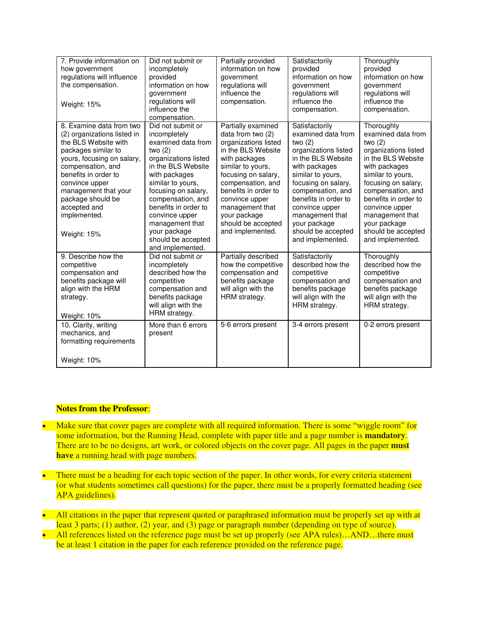| 7. Provide information on<br>how government<br>regulations will influence<br>the compensation.<br>Weight: 15%                                                                                                                                                                                   | Did not submit or<br>incompletely<br>provided<br>information on how<br>government<br>regulations will<br>influence the<br>compensation.                                                                                                                                                                                     | Partially provided<br>information on how<br>government<br>regulations will<br>influence the<br>compensation.                                                                                                                                                                                   | Satisfactorily<br>provided<br>information on how<br>government<br>regulations will<br>influence the<br>compensation.                                                                                                                                                                                     | Thoroughly<br>provided<br>information on how<br>government<br>regulations will<br>influence the<br>compensation.                                                                                                                                                                                     |
|-------------------------------------------------------------------------------------------------------------------------------------------------------------------------------------------------------------------------------------------------------------------------------------------------|-----------------------------------------------------------------------------------------------------------------------------------------------------------------------------------------------------------------------------------------------------------------------------------------------------------------------------|------------------------------------------------------------------------------------------------------------------------------------------------------------------------------------------------------------------------------------------------------------------------------------------------|----------------------------------------------------------------------------------------------------------------------------------------------------------------------------------------------------------------------------------------------------------------------------------------------------------|------------------------------------------------------------------------------------------------------------------------------------------------------------------------------------------------------------------------------------------------------------------------------------------------------|
| 8. Examine data from two<br>(2) organizations listed in<br>the BLS Website with<br>packages similar to<br>yours, focusing on salary,<br>compensation, and<br>benefits in order to<br>convince upper<br>management that your<br>package should be<br>accepted and<br>implemented.<br>Weight: 15% | Did not submit or<br>incompletely<br>examined data from<br>two $(2)$<br>organizations listed<br>in the BLS Website<br>with packages<br>similar to yours,<br>focusing on salary,<br>compensation, and<br>benefits in order to<br>convince upper<br>management that<br>your package<br>should be accepted<br>and implemented. | Partially examined<br>data from two (2)<br>organizations listed<br>in the BLS Website<br>with packages<br>similar to yours,<br>focusing on salary,<br>compensation, and<br>benefits in order to<br>convince upper<br>management that<br>your package<br>should be accepted<br>and implemented. | Satisfactorily<br>examined data from<br>two $(2)$<br>organizations listed<br>in the BLS Website<br>with packages<br>similar to yours,<br>focusing on salary,<br>compensation, and<br>benefits in order to<br>convince upper<br>management that<br>your package<br>should be accepted<br>and implemented. | Thoroughly<br>examined data from<br>two $(2)$<br>organizations listed<br>in the BLS Website<br>with packages<br>similar to yours,<br>focusing on salary,<br>compensation, and<br>benefits in order to<br>convince upper<br>management that<br>your package<br>should be accepted<br>and implemented. |
| 9. Describe how the<br>competitive<br>compensation and<br>benefits package will<br>align with the HRM<br>strategy.<br>Weight: 10%                                                                                                                                                               | Did not submit or<br>incompletely<br>described how the<br>competitive<br>compensation and<br>benefits package<br>will align with the<br>HRM strategy.                                                                                                                                                                       | Partially described<br>how the competitive<br>compensation and<br>benefits package<br>will align with the<br>HRM strategy.                                                                                                                                                                     | Satisfactorily<br>described how the<br>competitive<br>compensation and<br>benefits package<br>will align with the<br>HRM strategy.                                                                                                                                                                       | Thoroughly<br>described how the<br>competitive<br>compensation and<br>benefits package<br>will align with the<br>HRM strategy.                                                                                                                                                                       |
| 10. Clarity, writing<br>mechanics, and<br>formatting requirements<br>Weight: 10%                                                                                                                                                                                                                | More than 6 errors<br>present                                                                                                                                                                                                                                                                                               | 5-6 errors present                                                                                                                                                                                                                                                                             | 3-4 errors present                                                                                                                                                                                                                                                                                       | 0-2 errors present                                                                                                                                                                                                                                                                                   |

#### **Notes from the Professor**:

- Make sure that cover pages are complete with all required information. There is some "wiggle room" for some information, but the Running Head, complete with paper title and a page number is **mandatory**. There are to be no designs, art work, or colored objects on the cover page. All pages in the paper **must have** a running head with page numbers.
- There must be a heading for each topic section of the paper. In other words, for every criteria statement (or what students sometimes call questions) for the paper, there must be a properly formatted heading (see APA guidelines).
- All citations in the paper that represent quoted or paraphrased information must be properly set up with at least 3 parts; (1) author, (2) year, and (3) page or paragraph number (depending on type of source).
- All references listed on the reference page must be set up properly (see APA rules)...AND...there must be at least 1 citation in the paper for each reference provided on the reference page.